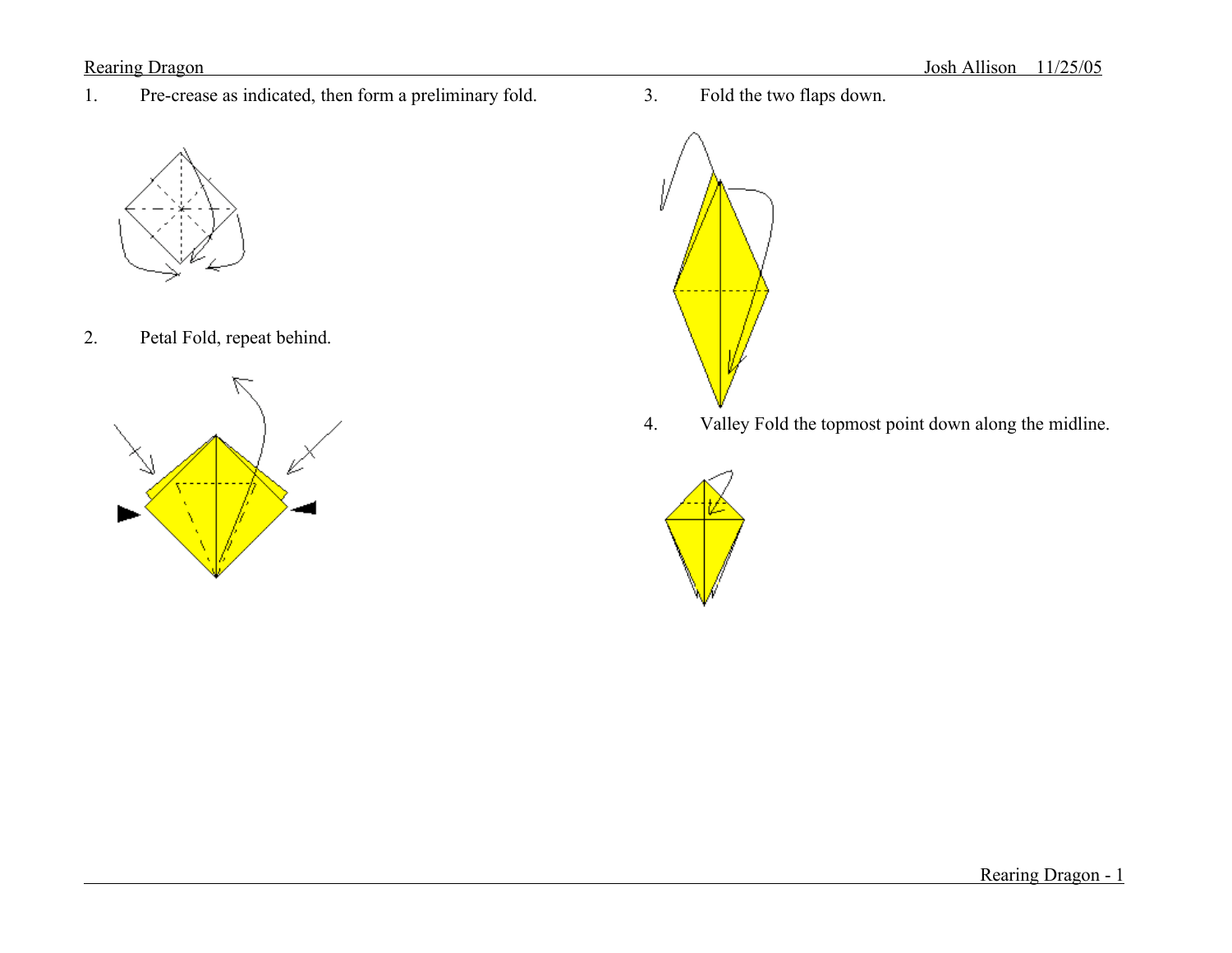1. Pre-crease as indicated, then form a preliminary fold.



2. Petal Fold, repeat behind.



3. Fold the two flaps down.



4. Valley Fold the topmost point down along the midline.



Rearing Dragon - 1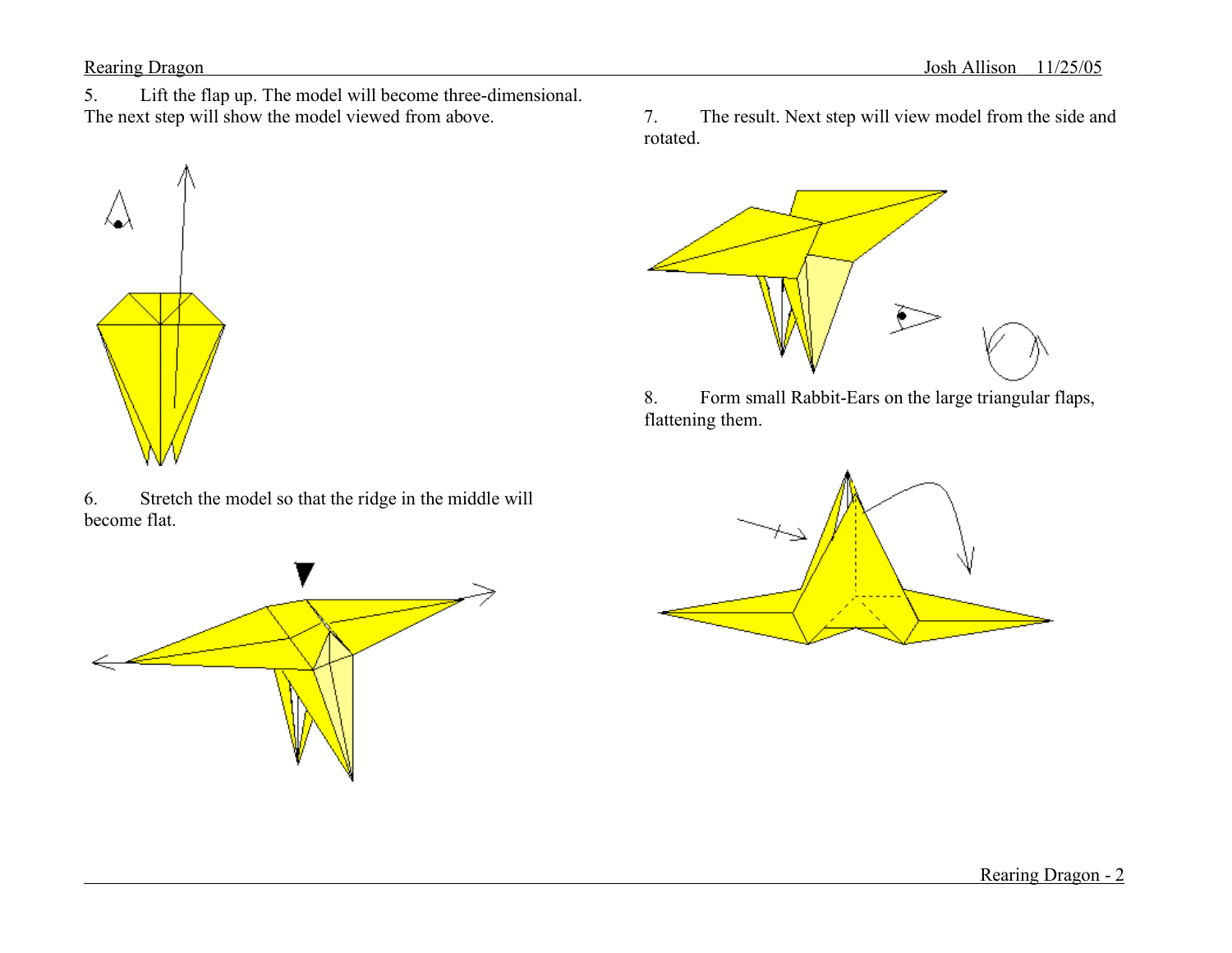5. Lift the flap up. The model will become three-dimensional. The next step will show the model viewed from above.



6. Stretch the model so that the ridge in the middle will become flat.

7. The result. Next step will view model from the side and rotated.



8. Form small Rabbit-Ears on the large triangular flaps, flattening them.

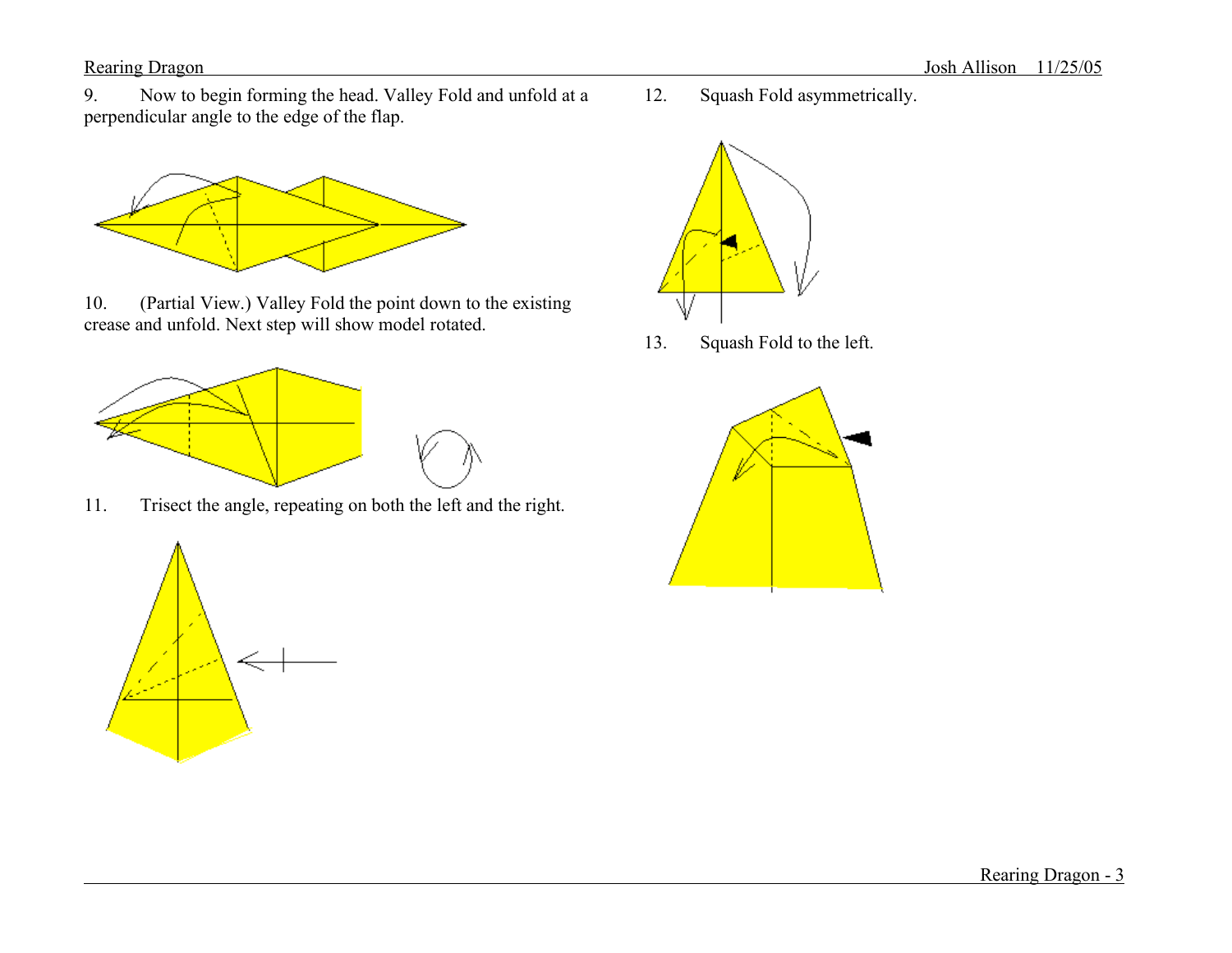Rearing Dragon Josh Allison 11/25/05

9. Now to begin forming the head. Valley Fold and unfold at a perpendicular angle to the edge of the flap.



10. (Partial View.) Valley Fold the point down to the existing crease and unfold. Next step will show model rotated.



11. Trisect the angle, repeating on both the left and the right.



12. Squash Fold asymmetrically.

13. Squash Fold to the left.



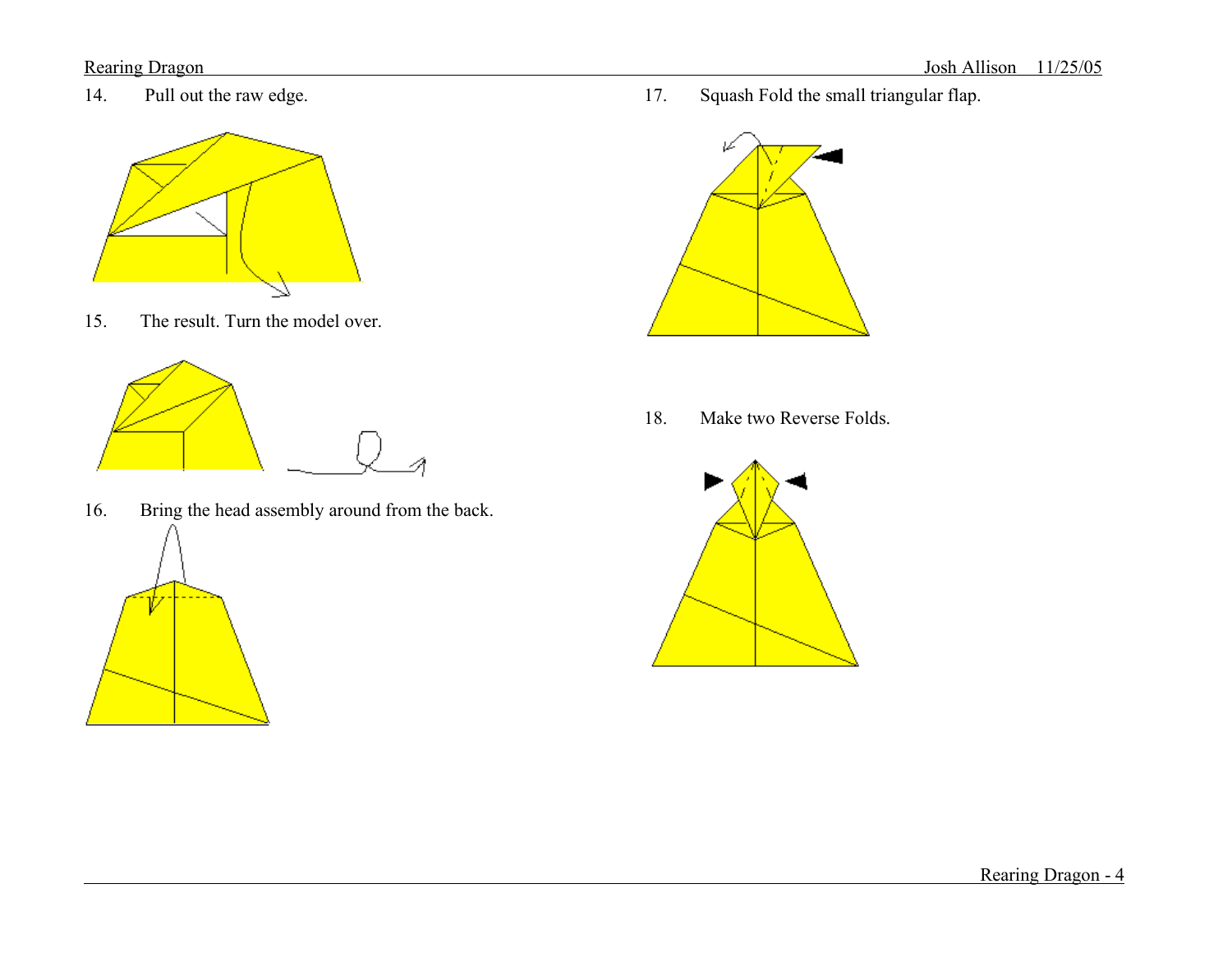14. Pull out the raw edge.



15. The result. Turn the model over.



16. Bring the head assembly around from the back.





18. Make two Reverse Folds.

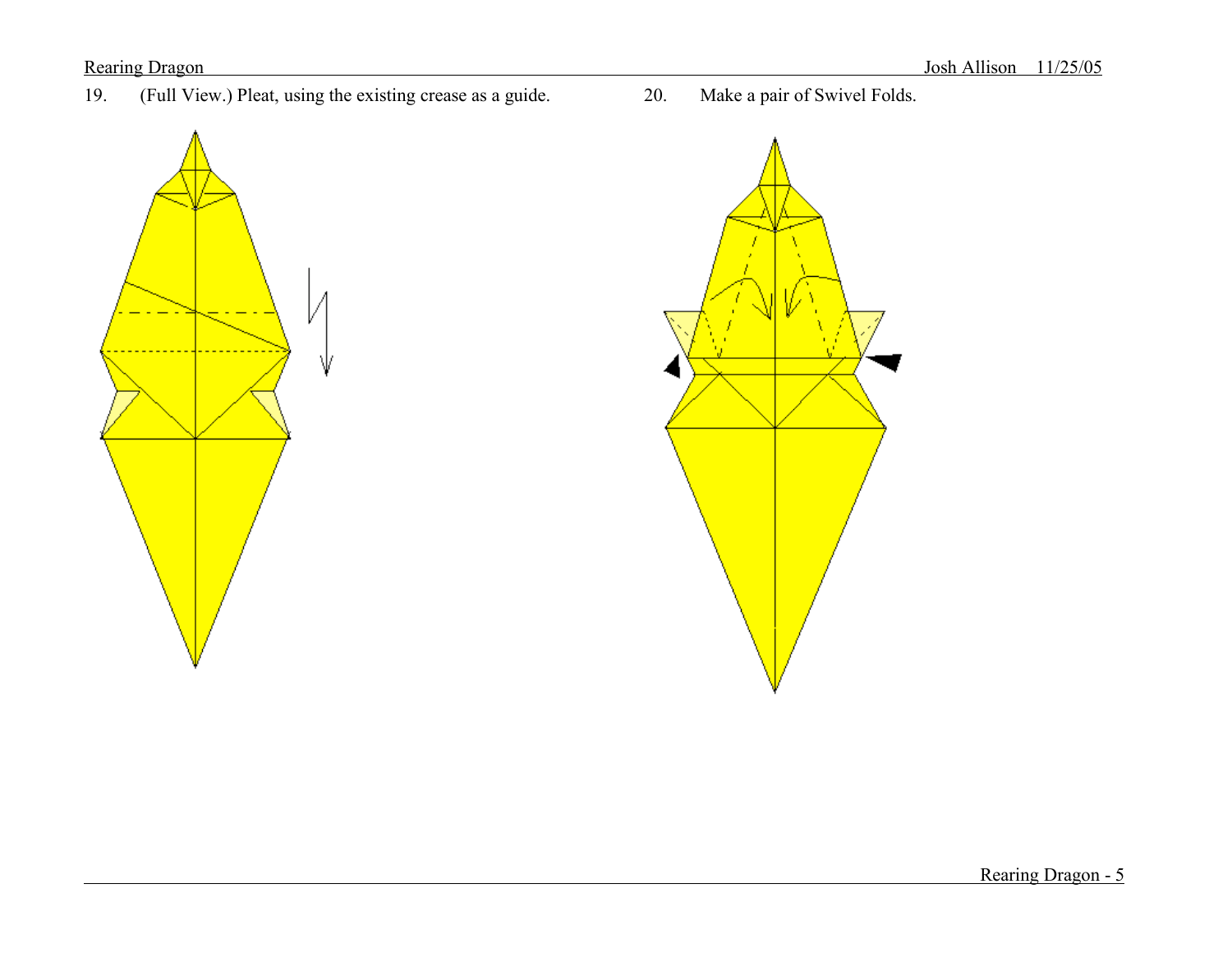19. (Full View.) Pleat, using the existing crease as a guide. 20. Make a pair of Swivel Folds.





Rearing Dragon - 5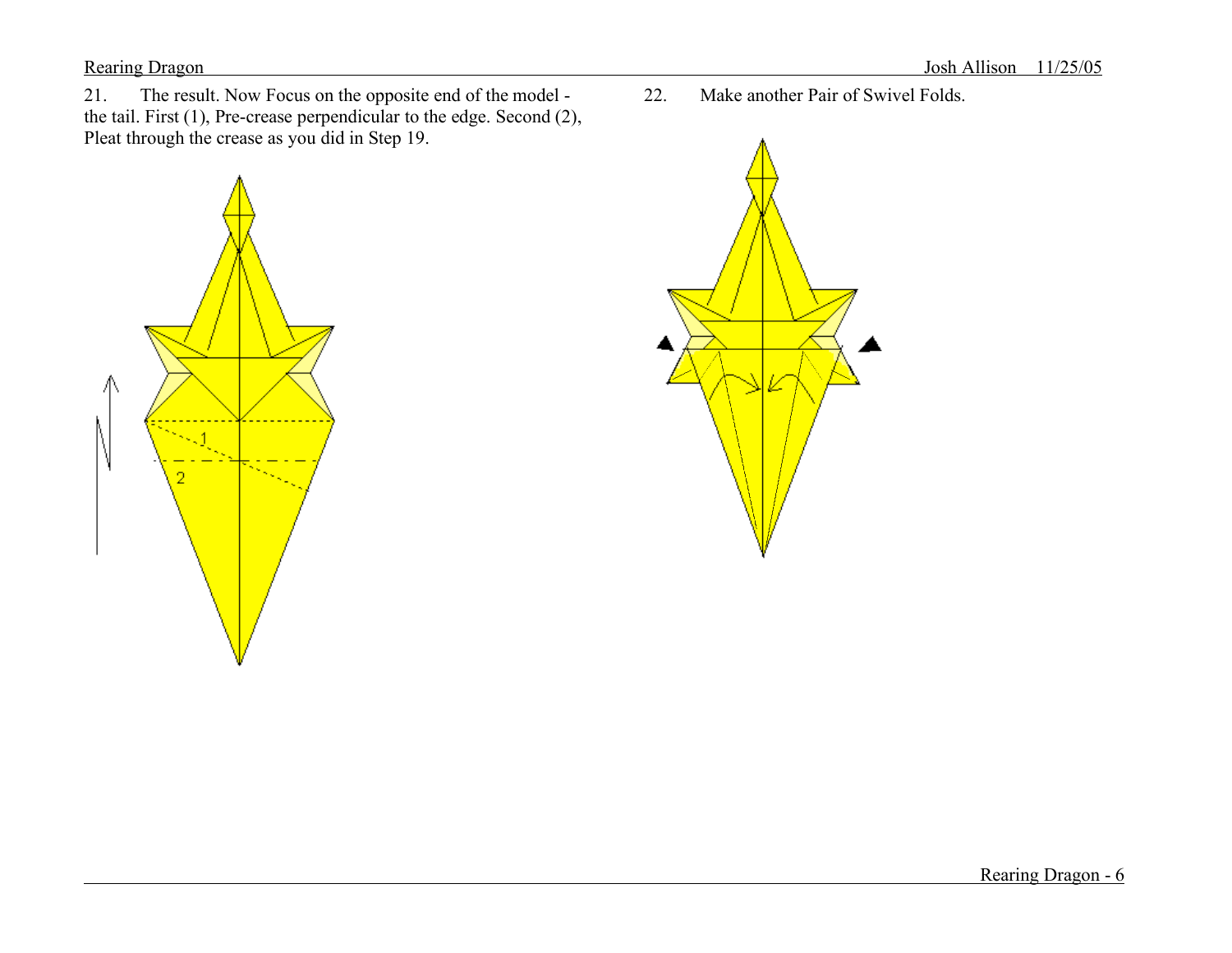21. The result. Now Focus on the opposite end of the model the tail. First (1), Pre-crease perpendicular to the edge. Second (2), Pleat through the crease as you did in Step 19.



22. Make another Pair of Swivel Folds.

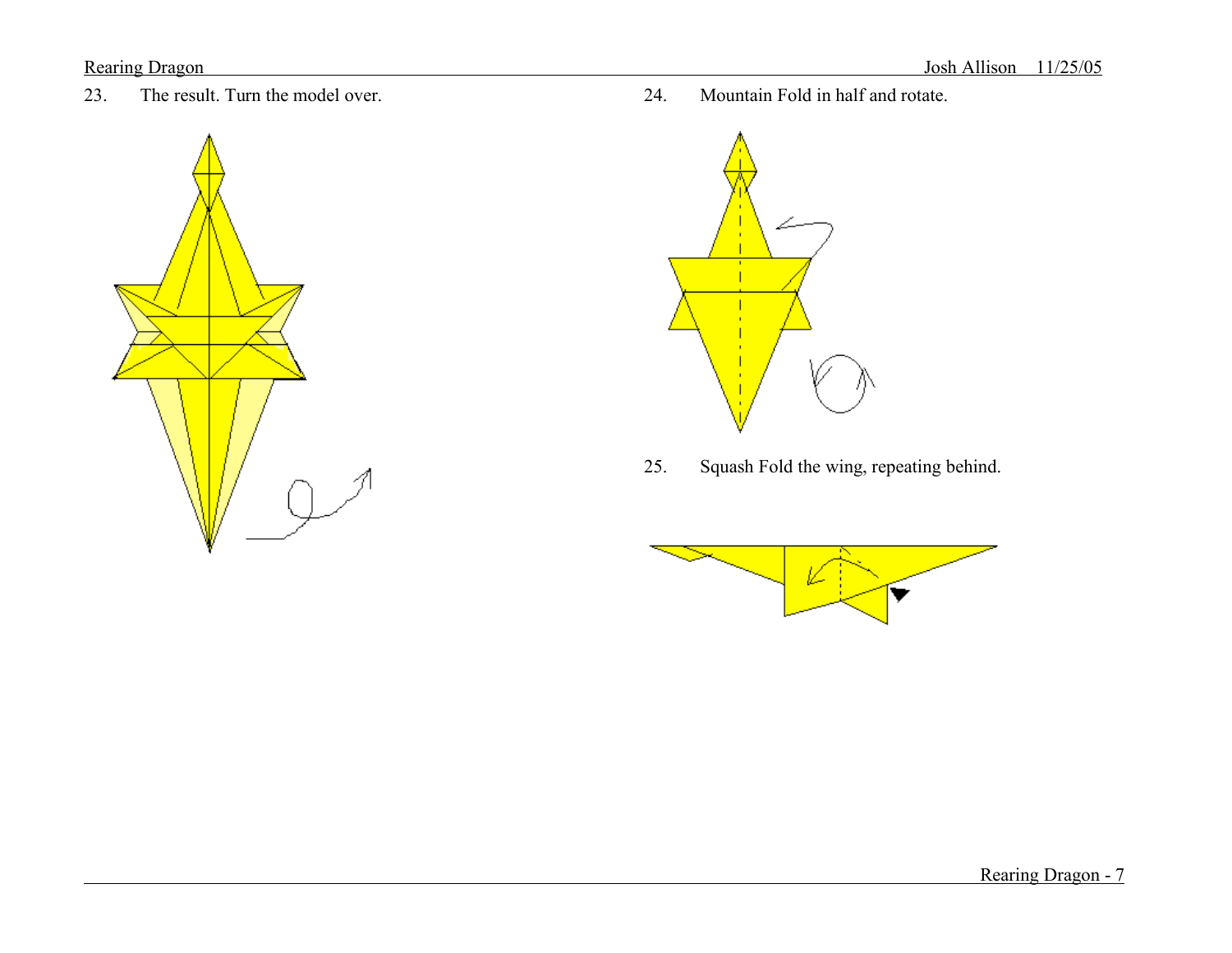

23. The result. Turn the model over. 24. Mountain Fold in half and rotate.



25. Squash Fold the wing, repeating behind.

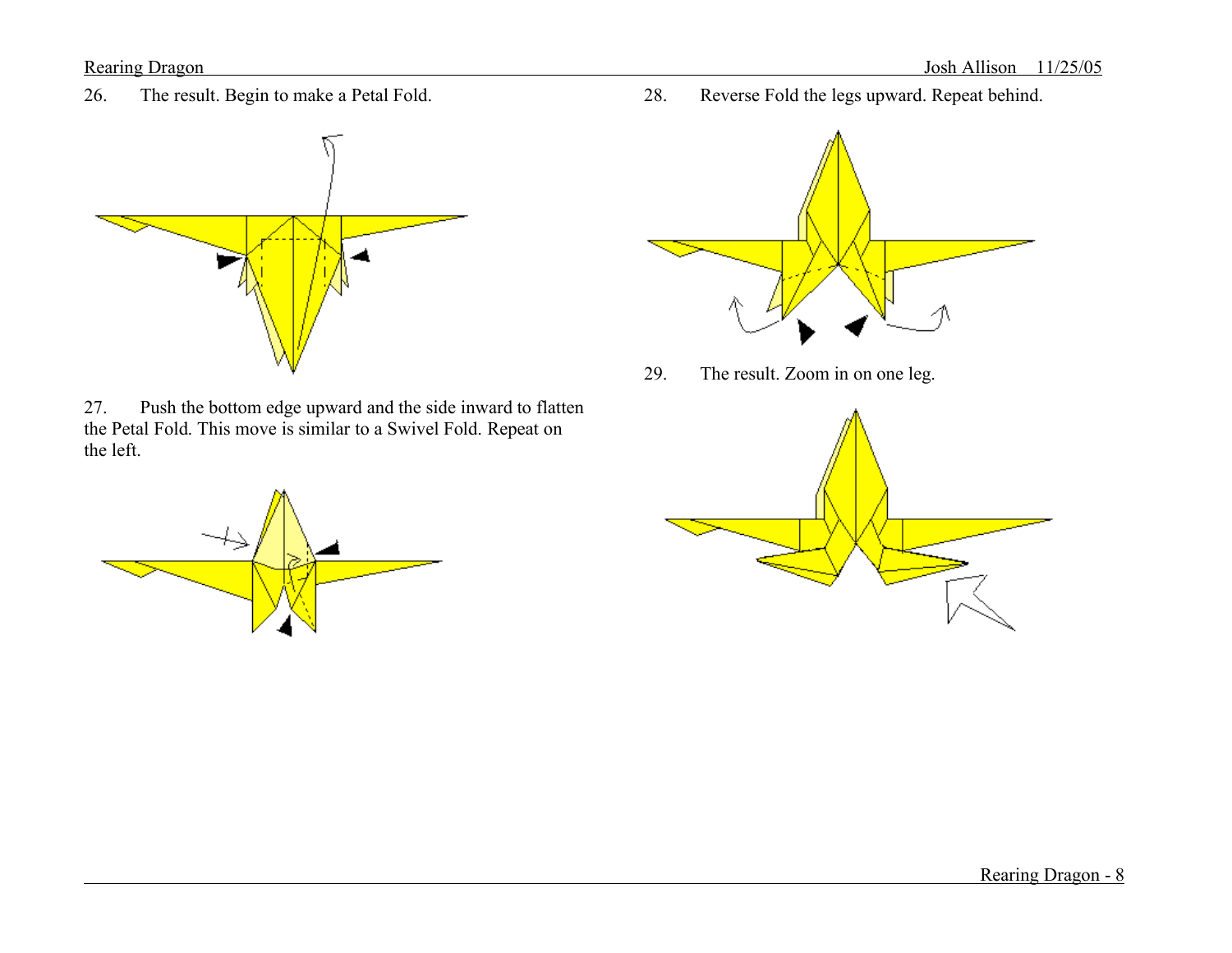26. The result. Begin to make a Petal Fold.



27. Push the bottom edge upward and the side inward to flatten the Petal Fold. This move is similar to a Swivel Fold. Repeat on the left.



28. Reverse Fold the legs upward. Repeat behind.



29. The result. Zoom in on one leg.

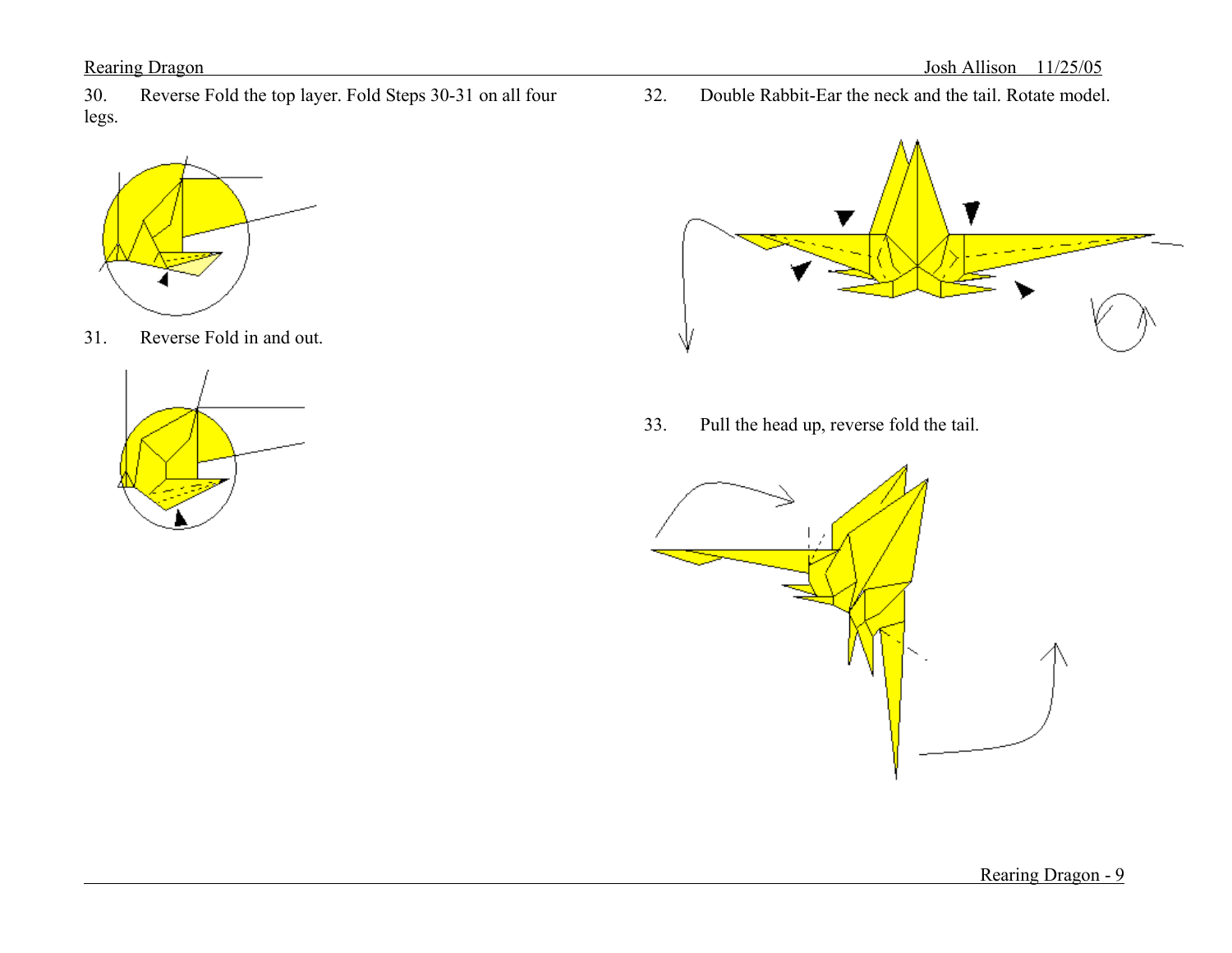30. Reverse Fold the top layer. Fold Steps 30-31 on all four legs.



31. Reverse Fold in and out.



32. Double Rabbit-Ear the neck and the tail. Rotate model.



33. Pull the head up, reverse fold the tail.